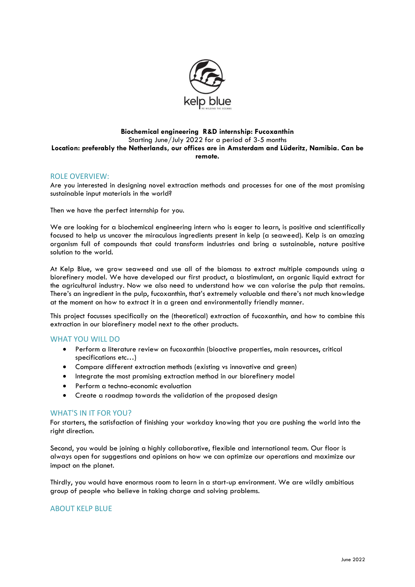

### **Biochemical engineering R&D internship: Fucoxanthin** Starting June/July 2022 for a period of 3-5 months **Location: preferably the Netherlands, our offices are in Amsterdam and Lüderitz, Namibia. Can be remote.**

## ROLE OVERVIEW:

Are you interested in designing novel extraction methods and processes for one of the most promising sustainable input materials in the world?

Then we have the perfect internship for you.

We are looking for a biochemical engineering intern who is eager to learn, is positive and scientifically focused to help us uncover the miraculous ingredients present in kelp (a seaweed). Kelp is an amazing organism full of compounds that could transform industries and bring a sustainable, nature positive solution to the world.

At Kelp Blue, we grow seaweed and use all of the biomass to extract multiple compounds using a biorefinery model. We have developed our first product, a biostimulant, an organic liquid extract for the agricultural industry. Now we also need to understand how we can valorise the pulp that remains. There's an ingredient in the pulp, fucoxanthin, that's extremely valuable and there's not much knowledge at the moment on how to extract it in a green and environmentally friendly manner.

This project focusses specifically on the (theoretical) extraction of fucoxanthin, and how to combine this extraction in our biorefinery model next to the other products.

### WHAT YOU WILL DO

- Perform a literature review on fucoxanthin (bioactive properties, main resources, critical specifications etc…)
- Compare different extraction methods (existing vs innovative and green)
- Integrate the most promising extraction method in our biorefinery model
- Perform a techno-economic evaluation
- Create a roadmap towards the validation of the proposed design

#### WHAT'S IN IT FOR YOU?

For starters, the satisfaction of finishing your workday knowing that you are pushing the world into the right direction.

Second, you would be joining a highly collaborative, flexible and international team. Our floor is always open for suggestions and opinions on how we can optimize our operations and maximize our impact on the planet.

Thirdly, you would have enormous room to learn in a start-up environment. We are wildly ambitious group of people who believe in taking charge and solving problems.

## ABOUT KELP BLUE